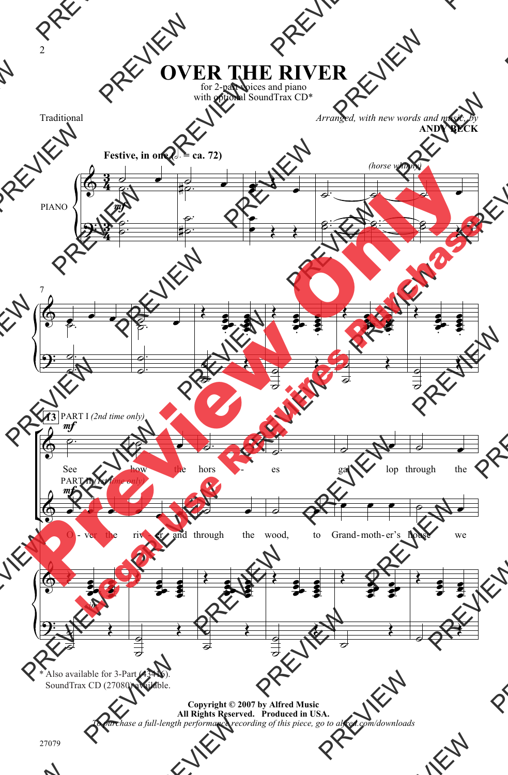## **OVER THE RIVER**

for 2-part voices and piano with optional SoundTrax CD\*

Traditional

*Arranged, with new words and music, by* **ANDY BECK**



SoundTrax CD (27080) available. \* Also available for 3-Part (43416).

> **Copyright © 2007 by Alfred Music All Rights Reserved. Produced in USA.** *To purchase a full-length performance recording of this piece, go to alfred.com/downloads*

2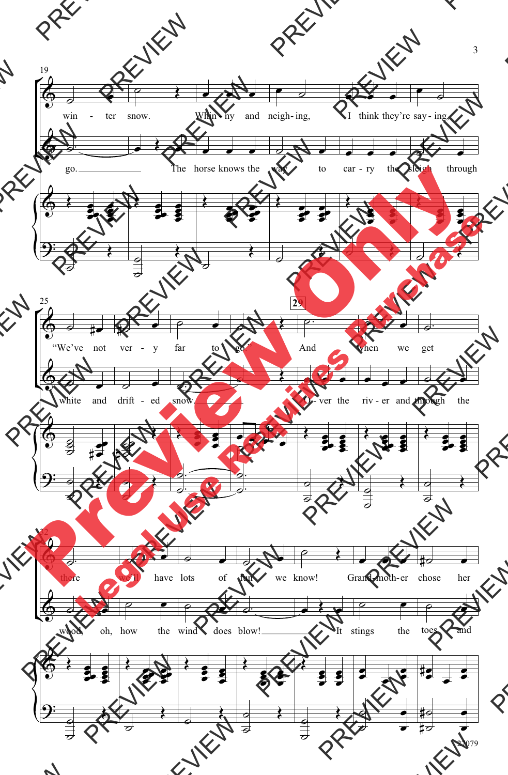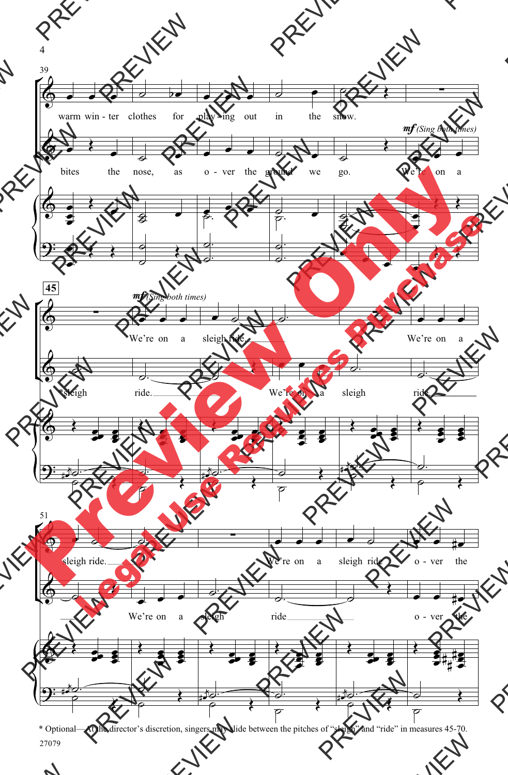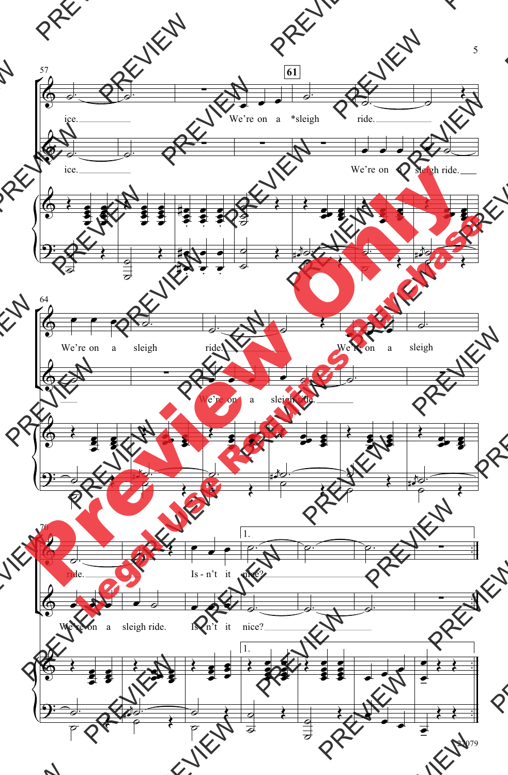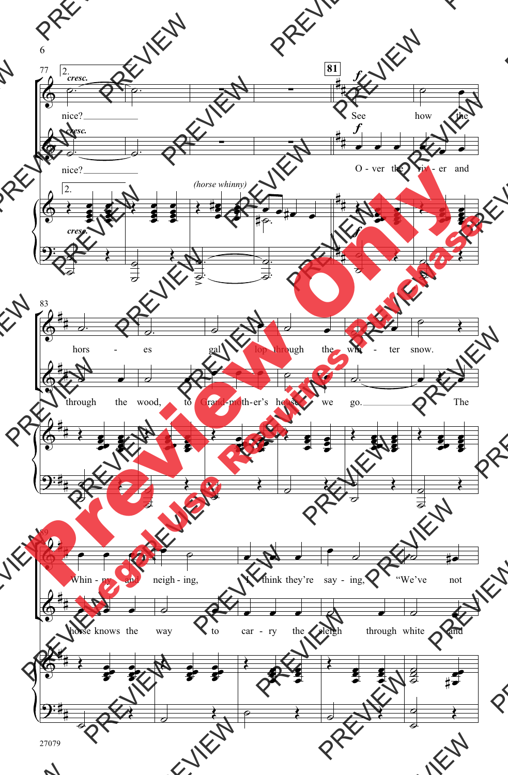

27079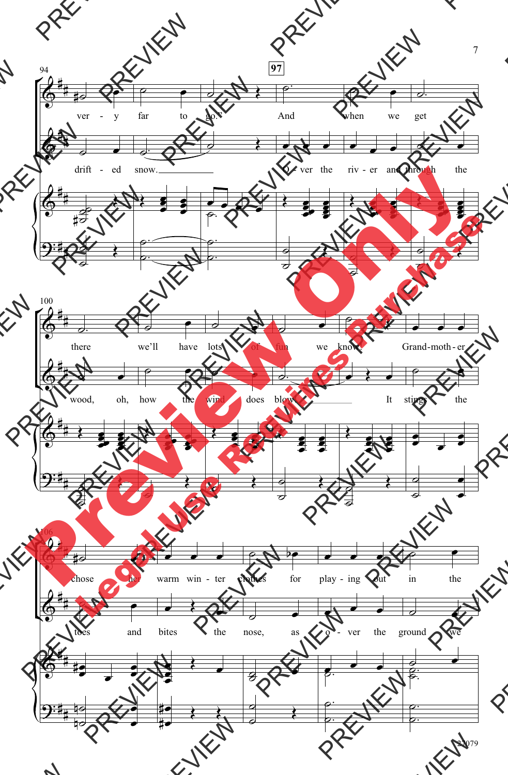

27079